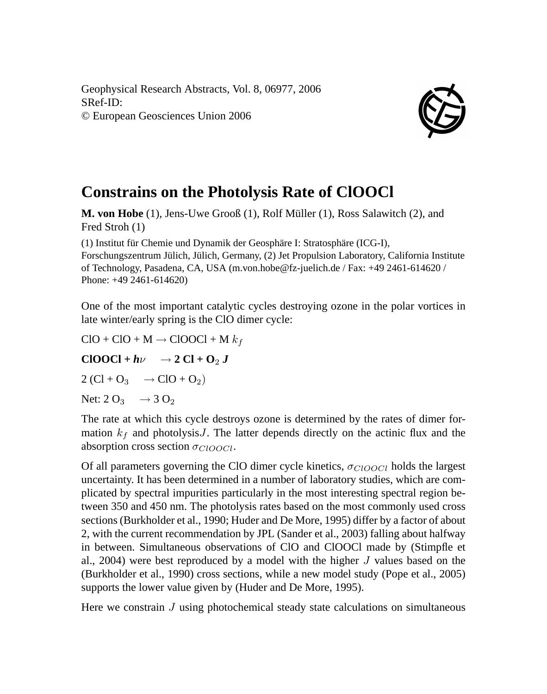Geophysical Research Abstracts, Vol. 8, 06977, 2006 SRef-ID: © European Geosciences Union 2006



## **Constrains on the Photolysis Rate of ClOOCl**

**M. von Hobe** (1), Jens-Uwe Grooß (1), Rolf Müller (1), Ross Salawitch (2), and Fred Stroh (1)

(1) Institut für Chemie und Dynamik der Geosphäre I: Stratosphäre (ICG-I), Forschungszentrum Jülich, Jülich, Germany, (2) Jet Propulsion Laboratory, California Institute of Technology, Pasadena, CA, USA (m.von.hobe@fz-juelich.de / Fax: +49 2461-614620 / Phone: +49 2461-614620)

One of the most important catalytic cycles destroying ozone in the polar vortices in late winter/early spring is the ClO dimer cycle:

 $ClO + ClO + M \rightarrow ClOOCl + M k_f$ 

 $CIOOC1 + h\nu \rightarrow 2 Cl + O_2 J$ 

 $2 (Cl + O_3 \rightarrow ClO + O_2)$ 

Net:  $2 O_3 \rightarrow 3 O_2$ 

The rate at which this cycle destroys ozone is determined by the rates of dimer formation  $k_f$  and photolysis J. The latter depends directly on the actinic flux and the absorption cross section  $\sigma_{ClOOCl}$ .

Of all parameters governing the ClO dimer cycle kinetics,  $\sigma_{ClOOCl}$  holds the largest uncertainty. It has been determined in a number of laboratory studies, which are complicated by spectral impurities particularly in the most interesting spectral region between 350 and 450 nm. The photolysis rates based on the most commonly used cross sections (Burkholder et al., 1990; Huder and De More, 1995) differ by a factor of about 2, with the current recommendation by JPL (Sander et al., 2003) falling about halfway in between. Simultaneous observations of ClO and ClOOCl made by (Stimpfle et al., 2004) were best reproduced by a model with the higher  $J$  values based on the (Burkholder et al., 1990) cross sections, while a new model study (Pope et al., 2005) supports the lower value given by (Huder and De More, 1995).

Here we constrain  $J$  using photochemical steady state calculations on simultaneous